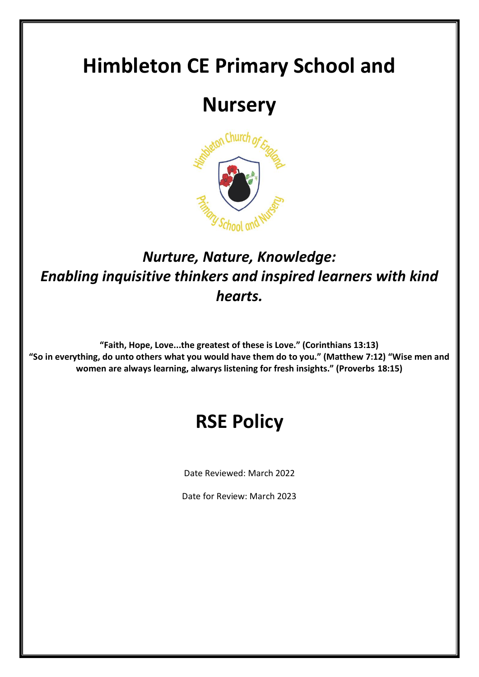# **Himbleton CE Primary School and**

# **Nursery**



# *Nurture, Nature, Knowledge: Enabling inquisitive thinkers and inspired learners with kind hearts.*

**"Faith, Hope, Love...the greatest of these is Love." (Corinthians 13:13) "So in everything, do unto others what you would have them do to you." (Matthew 7:12) "Wise men and women are always learning, alwarys listening for fresh insights." (Proverbs 18:15)**

# **RSE Policy**

Date Reviewed: March 2022

Date for Review: March 2023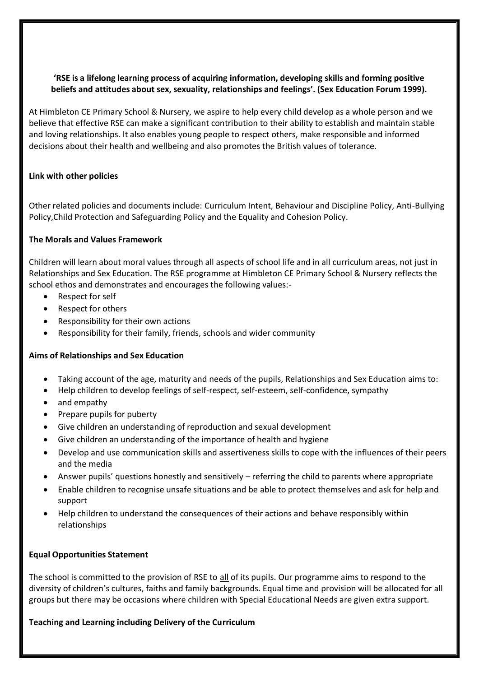#### **'RSE is a lifelong learning process of acquiring information, developing skills and forming positive beliefs and attitudes about sex, sexuality, relationships and feelings'. (Sex Education Forum 1999).**

At Himbleton CE Primary School & Nursery, we aspire to help every child develop as a whole person and we believe that effective RSE can make a significant contribution to their ability to establish and maintain stable and loving relationships. It also enables young people to respect others, make responsible and informed decisions about their health and wellbeing and also promotes the British values of tolerance.

#### **Link with other policies**

Other related policies and documents include: Curriculum Intent, Behaviour and Discipline Policy, Anti-Bullying Policy,Child Protection and Safeguarding Policy and the Equality and Cohesion Policy.

#### **The Morals and Values Framework**

Children will learn about moral values through all aspects of school life and in all curriculum areas, not just in Relationships and Sex Education. The RSE programme at Himbleton CE Primary School & Nursery reflects the school ethos and demonstrates and encourages the following values:-

- Respect for self
- Respect for others
- Responsibility for their own actions
- Responsibility for their family, friends, schools and wider community

#### **Aims of Relationships and Sex Education**

- Taking account of the age, maturity and needs of the pupils, Relationships and Sex Education aims to:
- Help children to develop feelings of self-respect, self-esteem, self-confidence, sympathy
- and empathy
- Prepare pupils for puberty
- Give children an understanding of reproduction and sexual development
- Give children an understanding of the importance of health and hygiene
- Develop and use communication skills and assertiveness skills to cope with the influences of their peers and the media
- Answer pupils' questions honestly and sensitively referring the child to parents where appropriate
- Enable children to recognise unsafe situations and be able to protect themselves and ask for help and support
- Help children to understand the consequences of their actions and behave responsibly within relationships

#### **Equal Opportunities Statement**

The school is committed to the provision of RSE to all of its pupils. Our programme aims to respond to the diversity of children's cultures, faiths and family backgrounds. Equal time and provision will be allocated for all groups but there may be occasions where children with Special Educational Needs are given extra support.

#### **Teaching and Learning including Delivery of the Curriculum**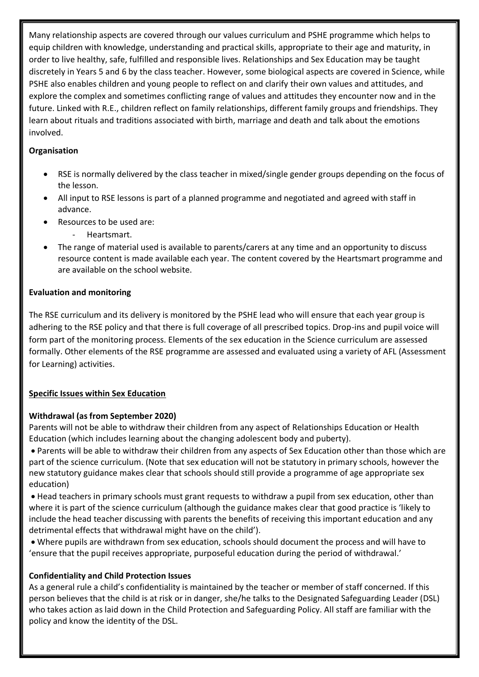Many relationship aspects are covered through our values curriculum and PSHE programme which helps to equip children with knowledge, understanding and practical skills, appropriate to their age and maturity, in order to live healthy, safe, fulfilled and responsible lives. Relationships and Sex Education may be taught discretely in Years 5 and 6 by the class teacher. However, some biological aspects are covered in Science, while PSHE also enables children and young people to reflect on and clarify their own values and attitudes, and explore the complex and sometimes conflicting range of values and attitudes they encounter now and in the future. Linked with R.E., children reflect on family relationships, different family groups and friendships. They learn about rituals and traditions associated with birth, marriage and death and talk about the emotions involved.

### **Organisation**

- RSE is normally delivered by the class teacher in mixed/single gender groups depending on the focus of the lesson.
- All input to RSE lessons is part of a planned programme and negotiated and agreed with staff in advance.
- Resources to be used are:
	- Heartsmart.
- The range of material used is available to parents/carers at any time and an opportunity to discuss resource content is made available each year. The content covered by the Heartsmart programme and are available on the school website.

### **Evaluation and monitoring**

The RSE curriculum and its delivery is monitored by the PSHE lead who will ensure that each year group is adhering to the RSE policy and that there is full coverage of all prescribed topics. Drop-ins and pupil voice will form part of the monitoring process. Elements of the sex education in the Science curriculum are assessed formally. Other elements of the RSE programme are assessed and evaluated using a variety of AFL (Assessment for Learning) activities.

# **Specific Issues within Sex Education**

# **Withdrawal (as from September 2020)**

Parents will not be able to withdraw their children from any aspect of Relationships Education or Health Education (which includes learning about the changing adolescent body and puberty).

• Parents will be able to withdraw their children from any aspects of Sex Education other than those which are part of the science curriculum. (Note that sex education will not be statutory in primary schools, however the new statutory guidance makes clear that schools should still provide a programme of age appropriate sex education)

• Head teachers in primary schools must grant requests to withdraw a pupil from sex education, other than where it is part of the science curriculum (although the guidance makes clear that good practice is 'likely to include the head teacher discussing with parents the benefits of receiving this important education and any detrimental effects that withdrawal might have on the child').

• Where pupils are withdrawn from sex education, schools should document the process and will have to 'ensure that the pupil receives appropriate, purposeful education during the period of withdrawal.'

# **Confidentiality and Child Protection Issues**

As a general rule a child's confidentiality is maintained by the teacher or member of staff concerned. If this person believes that the child is at risk or in danger, she/he talks to the Designated Safeguarding Leader (DSL) who takes action as laid down in the Child Protection and Safeguarding Policy. All staff are familiar with the policy and know the identity of the DSL.